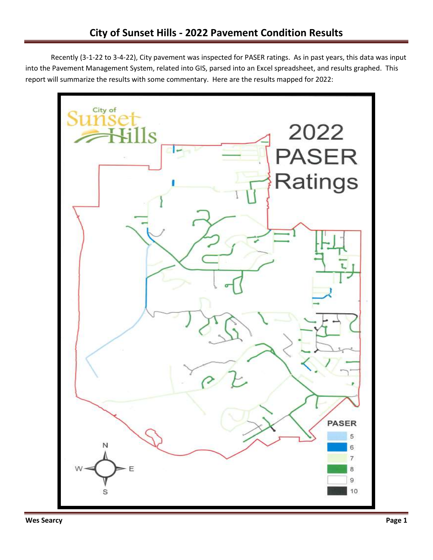Recently (3-1-22 to 3-4-22), City pavement was inspected for PASER ratings. As in past years, this data was input into the Pavement Management System, related into GIS, parsed into an Excel spreadsheet, and results graphed. This report will summarize the results with some commentary. Here are the results mapped for 2022:

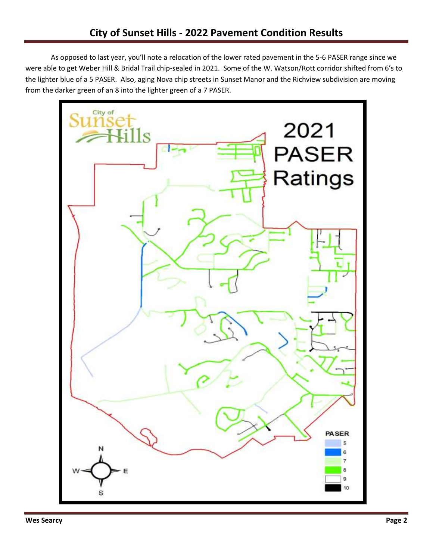As opposed to last year, you'll note a relocation of the lower rated pavement in the 5-6 PASER range since we were able to get Weber Hill & Bridal Trail chip-sealed in 2021. Some of the W. Watson/Rott corridor shifted from 6's to the lighter blue of a 5 PASER. Also, aging Nova chip streets in Sunset Manor and the Richview subdivision are moving from the darker green of an 8 into the lighter green of a 7 PASER.

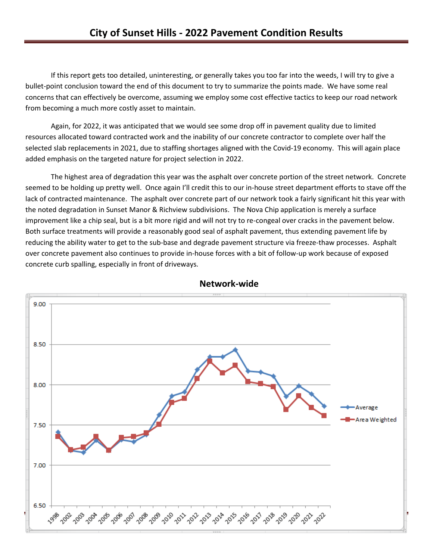If this report gets too detailed, uninteresting, or generally takes you too far into the weeds, I will try to give a bullet-point conclusion toward the end of this document to try to summarize the points made. We have some real concerns that can effectively be overcome, assuming we employ some cost effective tactics to keep our road network from becoming a much more costly asset to maintain.

Again, for 2022, it was anticipated that we would see some drop off in pavement quality due to limited resources allocated toward contracted work and the inability of our concrete contractor to complete over half the selected slab replacements in 2021, due to staffing shortages aligned with the Covid-19 economy. This will again place added emphasis on the targeted nature for project selection in 2022.

The highest area of degradation this year was the asphalt over concrete portion of the street network. Concrete seemed to be holding up pretty well. Once again I'll credit this to our in-house street department efforts to stave off the lack of contracted maintenance. The asphalt over concrete part of our network took a fairly significant hit this year with the noted degradation in Sunset Manor & Richview subdivisions. The Nova Chip application is merely a surface improvement like a chip seal, but is a bit more rigid and will not try to re-congeal over cracks in the pavement below. Both surface treatments will provide a reasonably good seal of asphalt pavement, thus extending pavement life by reducing the ability water to get to the sub-base and degrade pavement structure via freeze-thaw processes. Asphalt over concrete pavement also continues to provide in-house forces with a bit of follow-up work because of exposed concrete curb spalling, especially in front of driveways.



**Network-wide**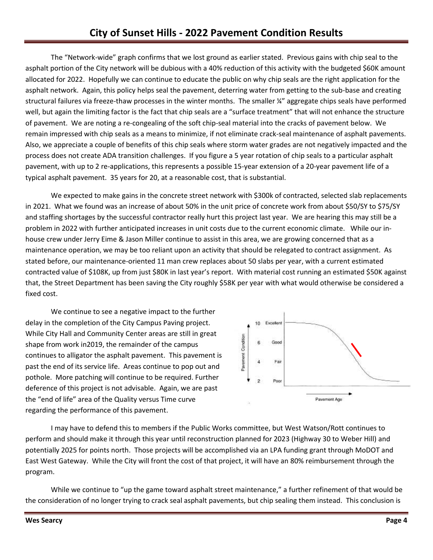The "Network-wide" graph confirms that we lost ground as earlier stated. Previous gains with chip seal to the asphalt portion of the City network will be dubious with a 40% reduction of this activity with the budgeted \$60K amount allocated for 2022. Hopefully we can continue to educate the public on why chip seals are the right application for the asphalt network. Again, this policy helps seal the pavement, deterring water from getting to the sub-base and creating structural failures via freeze-thaw processes in the winter months. The smaller ¼" aggregate chips seals have performed well, but again the limiting factor is the fact that chip seals are a "surface treatment" that will not enhance the structure of pavement. We are noting a re-congealing of the soft chip-seal material into the cracks of pavement below. We remain impressed with chip seals as a means to minimize, if not eliminate crack-seal maintenance of asphalt pavements. Also, we appreciate a couple of benefits of this chip seals where storm water grades are not negatively impacted and the process does not create ADA transition challenges. If you figure a 5 year rotation of chip seals to a particular asphalt pavement, with up to 2 re-applications, this represents a possible 15-year extension of a 20-year pavement life of a typical asphalt pavement. 35 years for 20, at a reasonable cost, that is substantial.

We expected to make gains in the concrete street network with \$300k of contracted, selected slab replacements in 2021. What we found was an increase of about 50% in the unit price of concrete work from about \$50/SY to \$75/SY and staffing shortages by the successful contractor really hurt this project last year. We are hearing this may still be a problem in 2022 with further anticipated increases in unit costs due to the current economic climate. While our inhouse crew under Jerry Eime & Jason Miller continue to assist in this area, we are growing concerned that as a maintenance operation, we may be too reliant upon an activity that should be relegated to contract assignment. As stated before, our maintenance-oriented 11 man crew replaces about 50 slabs per year, with a current estimated contracted value of \$108K, up from just \$80K in last year's report. With material cost running an estimated \$50K against that, the Street Department has been saving the City roughly \$58K per year with what would otherwise be considered a fixed cost.

We continue to see a negative impact to the further delay in the completion of the City Campus Paving project. While City Hall and Community Center areas are still in great shape from work in2019, the remainder of the campus continues to alligator the asphalt pavement. This pavement is past the end of its service life. Areas continue to pop out and pothole. More patching will continue to be required. Further deference of this project is not advisable. Again, we are past the "end of life" area of the Quality versus Time curve regarding the performance of this pavement.



I may have to defend this to members if the Public Works committee, but West Watson/Rott continues to perform and should make it through this year until reconstruction planned for 2023 (Highway 30 to Weber Hill) and potentially 2025 for points north. Those projects will be accomplished via an LPA funding grant through MoDOT and East West Gateway. While the City will front the cost of that project, it will have an 80% reimbursement through the program.

While we continue to "up the game toward asphalt street maintenance," a further refinement of that would be the consideration of no longer trying to crack seal asphalt pavements, but chip sealing them instead. This conclusion is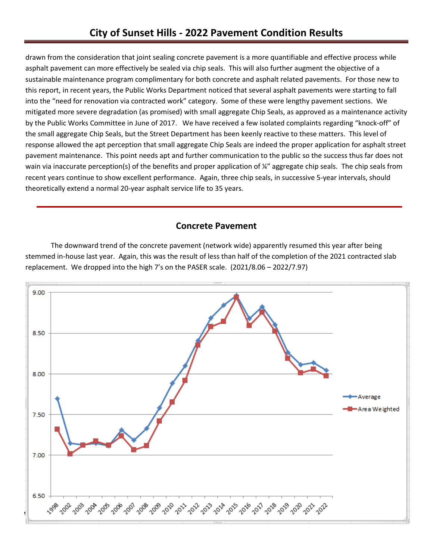drawn from the consideration that joint sealing concrete pavement is a more quantifiable and effective process while asphalt pavement can more effectively be sealed via chip seals. This will also further augment the objective of a sustainable maintenance program complimentary for both concrete and asphalt related pavements. For those new to this report, in recent years, the Public Works Department noticed that several asphalt pavements were starting to fall into the "need for renovation via contracted work" category. Some of these were lengthy pavement sections. We mitigated more severe degradation (as promised) with small aggregate Chip Seals, as approved as a maintenance activity by the Public Works Committee in June of 2017. We have received a few isolated complaints regarding "knock-off" of the small aggregate Chip Seals, but the Street Department has been keenly reactive to these matters. This level of response allowed the apt perception that small aggregate Chip Seals are indeed the proper application for asphalt street pavement maintenance. This point needs apt and further communication to the public so the success thus far does not wain via inaccurate perception(s) of the benefits and proper application of ¼" aggregate chip seals. The chip seals from recent years continue to show excellent performance. Again, three chip seals, in successive 5-year intervals, should theoretically extend a normal 20-year asphalt service life to 35 years.

#### **Concrete Pavement**

The downward trend of the concrete pavement (network wide) apparently resumed this year after being stemmed in-house last year. Again, this was the result of less than half of the completion of the 2021 contracted slab replacement. We dropped into the high 7's on the PASER scale. (2021/8.06 – 2022/7.97)

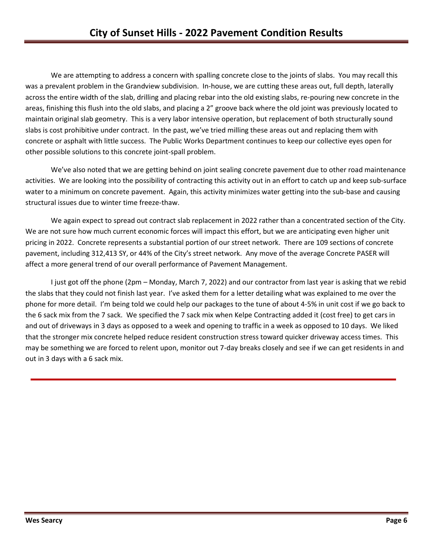We are attempting to address a concern with spalling concrete close to the joints of slabs. You may recall this was a prevalent problem in the Grandview subdivision. In-house, we are cutting these areas out, full depth, laterally across the entire width of the slab, drilling and placing rebar into the old existing slabs, re-pouring new concrete in the areas, finishing this flush into the old slabs, and placing a 2" groove back where the old joint was previously located to maintain original slab geometry. This is a very labor intensive operation, but replacement of both structurally sound slabs is cost prohibitive under contract. In the past, we've tried milling these areas out and replacing them with concrete or asphalt with little success. The Public Works Department continues to keep our collective eyes open for other possible solutions to this concrete joint-spall problem.

We've also noted that we are getting behind on joint sealing concrete pavement due to other road maintenance activities. We are looking into the possibility of contracting this activity out in an effort to catch up and keep sub-surface water to a minimum on concrete pavement. Again, this activity minimizes water getting into the sub-base and causing structural issues due to winter time freeze-thaw.

We again expect to spread out contract slab replacement in 2022 rather than a concentrated section of the City. We are not sure how much current economic forces will impact this effort, but we are anticipating even higher unit pricing in 2022. Concrete represents a substantial portion of our street network. There are 109 sections of concrete pavement, including 312,413 SY, or 44% of the City's street network. Any move of the average Concrete PASER will affect a more general trend of our overall performance of Pavement Management.

I just got off the phone (2pm – Monday, March 7, 2022) and our contractor from last year is asking that we rebid the slabs that they could not finish last year. I've asked them for a letter detailing what was explained to me over the phone for more detail. I'm being told we could help our packages to the tune of about 4-5% in unit cost if we go back to the 6 sack mix from the 7 sack. We specified the 7 sack mix when Kelpe Contracting added it (cost free) to get cars in and out of driveways in 3 days as opposed to a week and opening to traffic in a week as opposed to 10 days. We liked that the stronger mix concrete helped reduce resident construction stress toward quicker driveway access times. This may be something we are forced to relent upon, monitor out 7-day breaks closely and see if we can get residents in and out in 3 days with a 6 sack mix.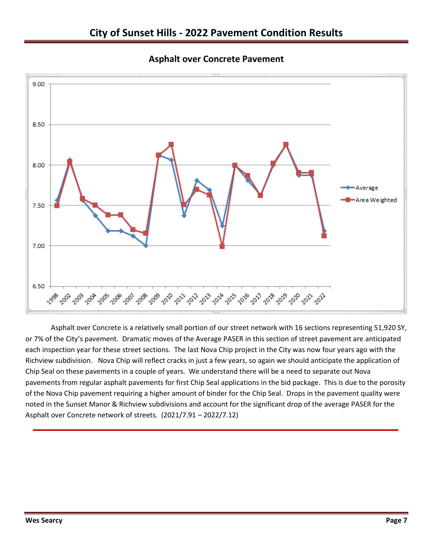



Asphalt over Concrete is a relatively small portion of our street network with 16 sections representing 51,920 SY, or 7% of the City's pavement. Dramatic moves of the Average PASER in this section of street pavement are anticipated each inspection year for these street sections. The last Nova Chip project in the City was now four years ago with the Richview subdivision. Nova Chip will reflect cracks in just a few years, so again we should anticipate the application of Chip Seal on these pavements in a couple of years. We understand there will be a need to separate out Nova pavements from regular asphalt pavements for first Chip Seal applications in the bid package. This is due to the porosity of the Nova Chip pavement requiring a higher amount of binder for the Chip Seal. Drops in the pavement quality were noted in the Sunset Manor & Richview subdivisions and account for the significant drop of the average PASER for the Asphalt over Concrete network of streets. (2021/7.91 – 2022/7.12)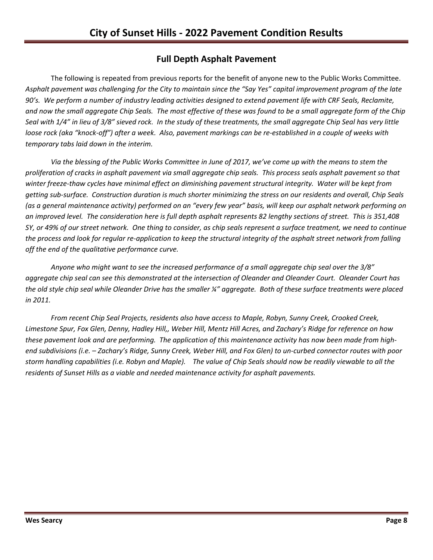## **Full Depth Asphalt Pavement**

The following is repeated from previous reports for the benefit of anyone new to the Public Works Committee. *Asphalt pavement was challenging for the City to maintain since the "Say Yes" capital improvement program of the late 90's. We perform a number of industry leading activities designed to extend pavement life with CRF Seals, Reclamite, and now the small aggregate Chip Seals. The most effective of these was found to be a small aggregate form of the Chip Seal with 1/4" in lieu of 3/8" sieved rock. In the study of these treatments, the small aggregate Chip Seal has very little loose rock (aka "knock-off") after a week. Also, pavement markings can be re-established in a couple of weeks with temporary tabs laid down in the interim.* 

*Via the blessing of the Public Works Committee in June of 2017, we've come up with the means to stem the proliferation of cracks in asphalt pavement via small aggregate chip seals. This process seals asphalt pavement so that winter freeze-thaw cycles have minimal effect on diminishing pavement structural integrity. Water will be kept from getting sub-surface. Construction duration is much shorter minimizing the stress on our residents and overall, Chip Seals (as a general maintenance activity) performed on an "every few year" basis, will keep our asphalt network performing on an improved level. The consideration here is full depth asphalt represents 82 lengthy sections of street. This is 351,408 SY, or 49% of our street network. One thing to consider, as chip seals represent a surface treatment, we need to continue the process and look for regular re-application to keep the structural integrity of the asphalt street network from falling off the end of the qualitative performance curve.*

*Anyone who might want to see the increased performance of a small aggregate chip seal over the 3/8" aggregate chip seal can see this demonstrated at the intersection of Oleander and Oleander Court. Oleander Court has the old style chip seal while Oleander Drive has the smaller ¼" aggregate. Both of these surface treatments were placed in 2011.*

*From recent Chip Seal Projects, residents also have access to Maple, Robyn, Sunny Creek, Crooked Creek, Limestone Spur, Fox Glen, Denny, Hadley Hill,, Weber Hill, Mentz Hill Acres, and Zachary's Ridge for reference on how these pavement look and are performing. The application of this maintenance activity has now been made from highend subdivisions (i.e. – Zachary's Ridge, Sunny Creek, Weber Hill, and Fox Glen) to un-curbed connector routes with poor storm handling capabilities (i.e. Robyn and Maple). The value of Chip Seals should now be readily viewable to all the residents of Sunset Hills as a viable and needed maintenance activity for asphalt pavements.*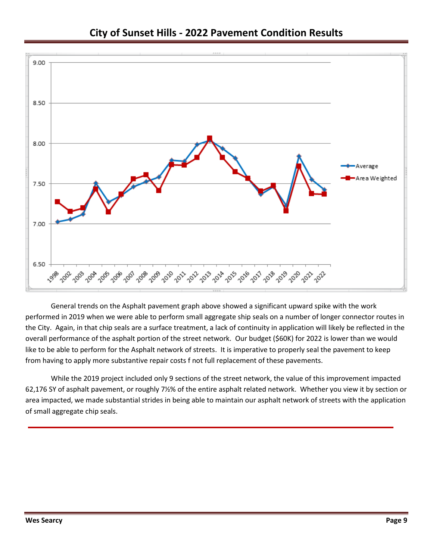

# **City of Sunset Hills - 2022 Pavement Condition Results**

General trends on the Asphalt pavement graph above showed a significant upward spike with the work performed in 2019 when we were able to perform small aggregate ship seals on a number of longer connector routes in the City. Again, in that chip seals are a surface treatment, a lack of continuity in application will likely be reflected in the overall performance of the asphalt portion of the street network. Our budget (\$60K) for 2022 is lower than we would like to be able to perform for the Asphalt network of streets. It is imperative to properly seal the pavement to keep from having to apply more substantive repair costs f not full replacement of these pavements.

While the 2019 project included only 9 sections of the street network, the value of this improvement impacted 62,176 SY of asphalt pavement, or roughly 7½% of the entire asphalt related network. Whether you view it by section or area impacted, we made substantial strides in being able to maintain our asphalt network of streets with the application of small aggregate chip seals.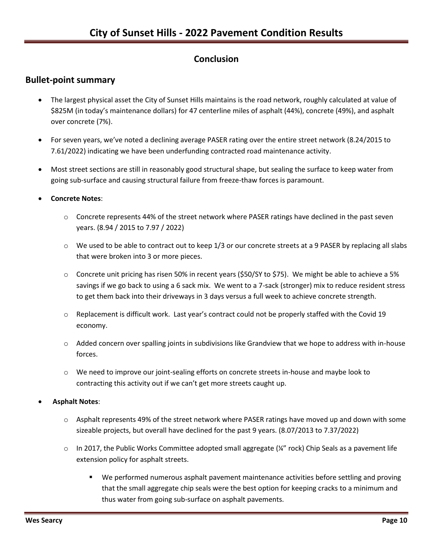## **Conclusion**

### **Bullet-point summary**

- The largest physical asset the City of Sunset Hills maintains is the road network, roughly calculated at value of \$825M (in today's maintenance dollars) for 47 centerline miles of asphalt (44%), concrete (49%), and asphalt over concrete (7%).
- For seven years, we've noted a declining average PASER rating over the entire street network (8.24/2015 to 7.61/2022) indicating we have been underfunding contracted road maintenance activity.
- Most street sections are still in reasonably good structural shape, but sealing the surface to keep water from going sub-surface and causing structural failure from freeze-thaw forces is paramount.
- **Concrete Notes**:
	- $\circ$  Concrete represents 44% of the street network where PASER ratings have declined in the past seven years. (8.94 / 2015 to 7.97 / 2022)
	- $\circ$  We used to be able to contract out to keep 1/3 or our concrete streets at a 9 PASER by replacing all slabs that were broken into 3 or more pieces.
	- $\circ$  Concrete unit pricing has risen 50% in recent years (\$50/SY to \$75). We might be able to achieve a 5% savings if we go back to using a 6 sack mix. We went to a 7-sack (stronger) mix to reduce resident stress to get them back into their driveways in 3 days versus a full week to achieve concrete strength.
	- $\circ$  Replacement is difficult work. Last year's contract could not be properly staffed with the Covid 19 economy.
	- $\circ$  Added concern over spalling joints in subdivisions like Grandview that we hope to address with in-house forces.
	- o We need to improve our joint-sealing efforts on concrete streets in-house and maybe look to contracting this activity out if we can't get more streets caught up.
- **Asphalt Notes**:
	- o Asphalt represents 49% of the street network where PASER ratings have moved up and down with some sizeable projects, but overall have declined for the past 9 years. (8.07/2013 to 7.37/2022)
	- $\circ$  In 2017, the Public Works Committee adopted small aggregate (¼" rock) Chip Seals as a pavement life extension policy for asphalt streets.
		- We performed numerous asphalt pavement maintenance activities before settling and proving that the small aggregate chip seals were the best option for keeping cracks to a minimum and thus water from going sub-surface on asphalt pavements.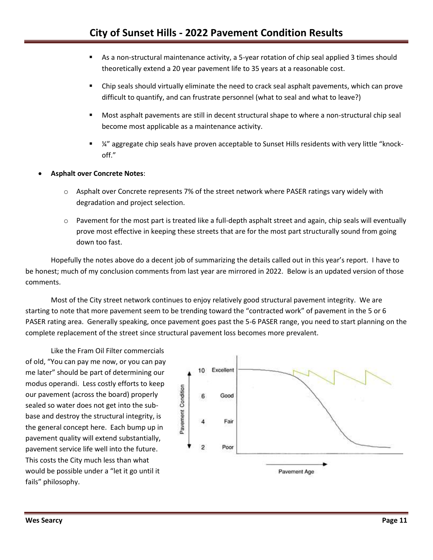- As a non-structural maintenance activity, a 5-year rotation of chip seal applied 3 times should theoretically extend a 20 year pavement life to 35 years at a reasonable cost.
- Chip seals should virtually eliminate the need to crack seal asphalt pavements, which can prove difficult to quantify, and can frustrate personnel (what to seal and what to leave?)
- **Most asphalt pavements are still in decent structural shape to where a non-structural chip seal** become most applicable as a maintenance activity.
- ¼" aggregate chip seals have proven acceptable to Sunset Hills residents with very little "knockoff."
- **Asphalt over Concrete Notes**:
	- $\circ$  Asphalt over Concrete represents 7% of the street network where PASER ratings vary widely with degradation and project selection.
	- $\circ$  Pavement for the most part is treated like a full-depth asphalt street and again, chip seals will eventually prove most effective in keeping these streets that are for the most part structurally sound from going down too fast.

Hopefully the notes above do a decent job of summarizing the details called out in this year's report. I have to be honest; much of my conclusion comments from last year are mirrored in 2022. Below is an updated version of those comments.

Most of the City street network continues to enjoy relatively good structural pavement integrity. We are starting to note that more pavement seem to be trending toward the "contracted work" of pavement in the 5 or 6 PASER rating area. Generally speaking, once pavement goes past the 5-6 PASER range, you need to start planning on the complete replacement of the street since structural pavement loss becomes more prevalent.

Like the Fram Oil Filter commercials of old, "You can pay me now, or you can pay me later" should be part of determining our modus operandi. Less costly efforts to keep our pavement (across the board) properly sealed so water does not get into the subbase and destroy the structural integrity, is the general concept here. Each bump up in pavement quality will extend substantially, pavement service life well into the future. This costs the City much less than what would be possible under a "let it go until it fails" philosophy.